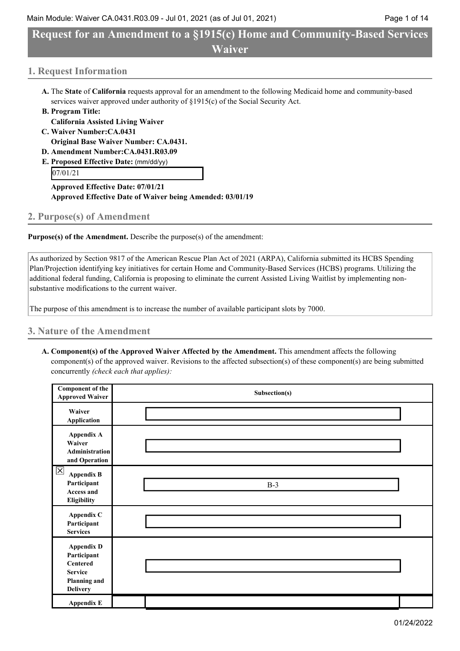## Main Module: Waiver CA.0431.R03.09 - Jul 01, 2021 (as of Jul 01, 2021) Page 1 of 14

# **Request for an Amendment to a §1915(c) Home and Community-Based Services Waiver**

# **1. Request Information**

- **A.** The **State** of **California** requests approval for an amendment to the following Medicaid home and community-based services waiver approved under authority of §1915(c) of the Social Security Act.
- **B. Program Title:**
- **California Assisted Living Waiver C. Waiver Number:CA.0431**
	- **Original Base Waiver Number: CA.0431.**
- **D. Amendment Number:CA.0431.R03.09**
- **E. Proposed Effective Date:** (mm/dd/yy)

07/01/21

**Approved Effective Date: 07/01/21 Approved Effective Date of Waiver being Amended: 03/01/19**

# **2. Purpose(s) of Amendment**

**Purpose(s) of the Amendment.** Describe the purpose(s) of the amendment:

As authorized by Section 9817 of the American Rescue Plan Act of 2021 (ARPA), California submitted its HCBS Spending Plan/Projection identifying key initiatives for certain Home and Community-Based Services (HCBS) programs. Utilizing the additional federal funding, California is proposing to eliminate the current Assisted Living Waitlist by implementing nonsubstantive modifications to the current waiver.

The purpose of this amendment is to increase the number of available participant slots by 7000.

# **3. Nature of the Amendment**

**A. Component(s) of the Approved Waiver Affected by the Amendment.** This amendment affects the following component(s) of the approved waiver. Revisions to the affected subsection(s) of these component(s) are being submitted concurrently *(check each that applies):*

| Component of the<br><b>Approved Waiver</b>                                                                      | Subsection(s) |  |
|-----------------------------------------------------------------------------------------------------------------|---------------|--|
| Waiver<br>Application                                                                                           |               |  |
| Appendix A<br>Waiver<br><b>Administration</b><br>and Operation                                                  |               |  |
| $\overline{\mathsf{X}}$<br><b>Appendix B</b><br>Participant<br><b>Access and</b><br><b>Eligibility</b>          | $B-3$         |  |
| Appendix C<br>Participant<br><b>Services</b>                                                                    |               |  |
| <b>Appendix D</b><br>Participant<br><b>Centered</b><br><b>Service</b><br><b>Planning and</b><br><b>Delivery</b> |               |  |
| <b>Appendix E</b>                                                                                               |               |  |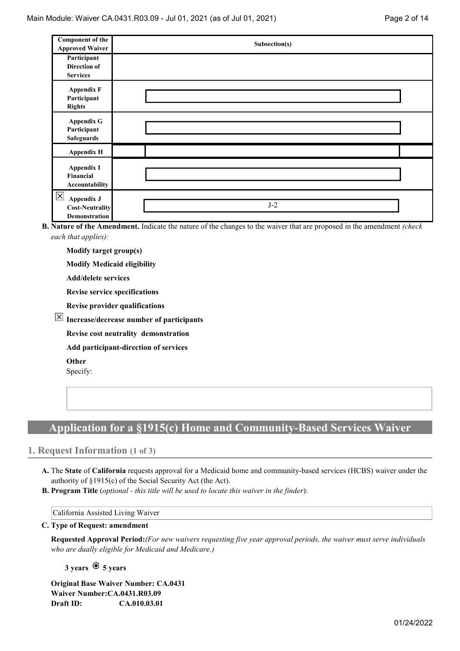| Component of the<br><b>Approved Waiver</b>                                      | Subsection(s) |  |
|---------------------------------------------------------------------------------|---------------|--|
| Participant<br><b>Direction of</b><br><b>Services</b>                           |               |  |
| <b>Appendix F</b><br>Participant<br><b>Rights</b>                               |               |  |
| <b>Appendix G</b><br>Participant<br><b>Safeguards</b>                           |               |  |
| <b>Appendix H</b>                                                               |               |  |
| <b>Appendix I</b><br><b>Financial</b><br>Accountability                         |               |  |
| $\times$<br><b>Appendix J</b><br><b>Cost-Neutrality</b><br><b>Demonstration</b> | $J-2$         |  |

**B. Nature of the Amendment.** Indicate the nature of the changes to the waiver that are proposed in the amendment *(check each that applies):*

**Modify target group(s)**

**Modify Medicaid eligibility**

**Add/delete services**

**Revise service specifications**

**Revise provider qualifications**

**Increase/decrease number of participants**

**Revise cost neutrality demonstration**

**Add participant-direction of services**

**Other**

Specify:

# **Application for a §1915(c) Home and Community-Based Services Waiver**

## **1. Request Information (1 of 3)**

- **A.** The **State** of **California** requests approval for a Medicaid home and community-based services (HCBS) waiver under the authority of §1915(c) of the Social Security Act (the Act).
- **B. Program Title** (*optional - this title will be used to locate this waiver in the finder*):

California Assisted Living Waiver

#### **C. Type of Request: amendment**

**Requested Approval Period:***(For new waivers requesting five year approval periods, the waiver must serve individuals who are dually eligible for Medicaid and Medicare.)*

**3 years 5 years**

**Original Base Waiver Number: CA.0431 Waiver Number:CA.0431.R03.09 Draft ID: CA.010.03.01**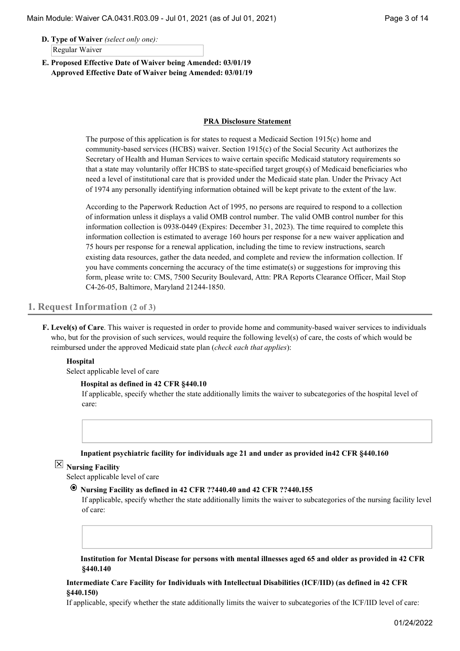**D. Type of Waiver** *(select only one):* Regular Waiver

**E. Proposed Effective Date of Waiver being Amended: 03/01/19 Approved Effective Date of Waiver being Amended: 03/01/19**

#### **PRA Disclosure Statement**

The purpose of this application is for states to request a Medicaid Section 1915(c) home and community-based services (HCBS) waiver. Section 1915(c) of the Social Security Act authorizes the Secretary of Health and Human Services to waive certain specific Medicaid statutory requirements so that a state may voluntarily offer HCBS to state-specified target group(s) of Medicaid beneficiaries who need a level of institutional care that is provided under the Medicaid state plan. Under the Privacy Act of 1974 any personally identifying information obtained will be kept private to the extent of the law.

According to the Paperwork Reduction Act of 1995, no persons are required to respond to a collection of information unless it displays a valid OMB control number. The valid OMB control number for this information collection is 0938-0449 (Expires: December 31, 2023). The time required to complete this information collection is estimated to average 160 hours per response for a new waiver application and 75 hours per response for a renewal application, including the time to review instructions, search existing data resources, gather the data needed, and complete and review the information collection. If you have comments concerning the accuracy of the time estimate(s) or suggestions for improving this form, please write to: CMS, 7500 Security Boulevard, Attn: PRA Reports Clearance Officer, Mail Stop C4-26-05, Baltimore, Maryland 21244-1850.

## **1. Request Information (2 of 3)**

**F. Level(s) of Care**. This waiver is requested in order to provide home and community-based waiver services to individuals who, but for the provision of such services, would require the following level(s) of care, the costs of which would be reimbursed under the approved Medicaid state plan (*check each that applies*):

#### **Hospital**

Select applicable level of care

#### **Hospital as defined in 42 CFR §440.10**

If applicable, specify whether the state additionally limits the waiver to subcategories of the hospital level of care:

#### **Inpatient psychiatric facility for individuals age 21 and under as provided in42 CFR §440.160**

# **Nursing Facility**

Select applicable level of care

#### **Nursing Facility as defined in 42 CFR ??440.40 and 42 CFR ??440.155**

If applicable, specify whether the state additionally limits the waiver to subcategories of the nursing facility level of care:

**Institution for Mental Disease for persons with mental illnesses aged 65 and older as provided in 42 CFR §440.140**

## **Intermediate Care Facility for Individuals with Intellectual Disabilities (ICF/IID) (as defined in 42 CFR §440.150)**

If applicable, specify whether the state additionally limits the waiver to subcategories of the ICF/IID level of care: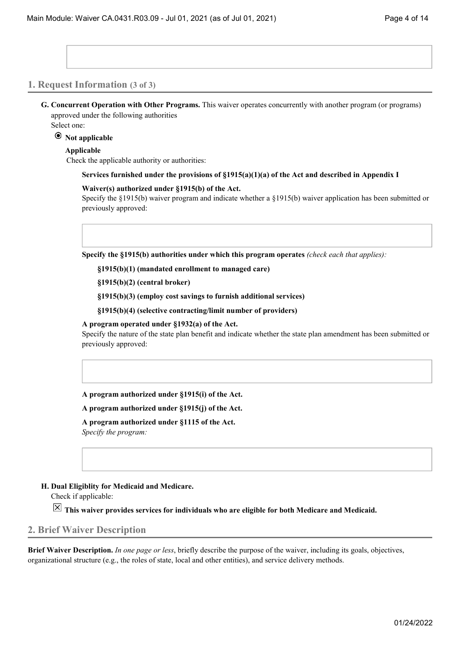### **1. Request Information (3 of 3)**

**G. Concurrent Operation with Other Programs.** This waiver operates concurrently with another program (or programs) approved under the following authorities

Select one:

### **Not applicable**

#### **Applicable**

Check the applicable authority or authorities:

**Services furnished under the provisions of §1915(a)(1)(a) of the Act and described in Appendix I**

#### **Waiver(s) authorized under §1915(b) of the Act.**

Specify the §1915(b) waiver program and indicate whether a §1915(b) waiver application has been submitted or previously approved:

**Specify the §1915(b) authorities under which this program operates** *(check each that applies):*

**§1915(b)(1) (mandated enrollment to managed care)**

**§1915(b)(2) (central broker)**

**§1915(b)(3) (employ cost savings to furnish additional services)**

**§1915(b)(4) (selective contracting/limit number of providers)**

#### **A program operated under §1932(a) of the Act.**

Specify the nature of the state plan benefit and indicate whether the state plan amendment has been submitted or previously approved:

**A program authorized under §1915(i) of the Act.**

**A program authorized under §1915(j) of the Act.**

**A program authorized under §1115 of the Act.**

*Specify the program:*

#### **H. Dual Eligiblity for Medicaid and Medicare.**

Check if applicable:

**This waiver provides services for individuals who are eligible for both Medicare and Medicaid.**

## **2. Brief Waiver Description**

**Brief Waiver Description.** *In one page or less*, briefly describe the purpose of the waiver, including its goals, objectives, organizational structure (e.g., the roles of state, local and other entities), and service delivery methods.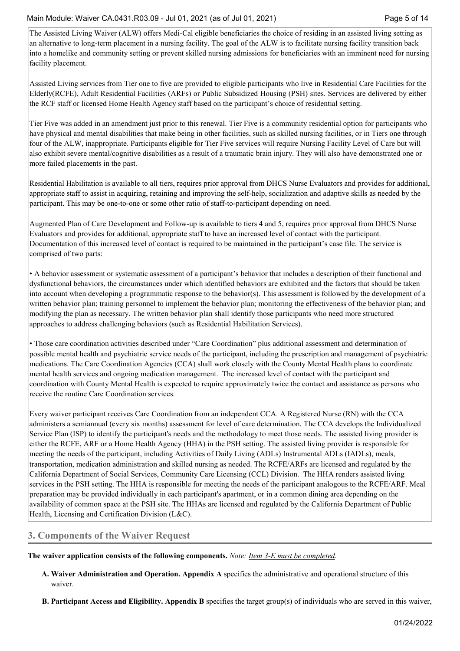The Assisted Living Waiver (ALW) offers Medi-Cal eligible beneficiaries the choice of residing in an assisted living setting as an alternative to long-term placement in a nursing facility. The goal of the ALW is to facilitate nursing facility transition back into a homelike and community setting or prevent skilled nursing admissions for beneficiaries with an imminent need for nursing facility placement.

Assisted Living services from Tier one to five are provided to eligible participants who live in Residential Care Facilities for the Elderly(RCFE), Adult Residential Facilities (ARFs) or Public Subsidized Housing (PSH) sites. Services are delivered by either the RCF staff or licensed Home Health Agency staff based on the participant's choice of residential setting.

Tier Five was added in an amendment just prior to this renewal. Tier Five is a community residential option for participants who have physical and mental disabilities that make being in other facilities, such as skilled nursing facilities, or in Tiers one through four of the ALW, inappropriate. Participants eligible for Tier Five services will require Nursing Facility Level of Care but will also exhibit severe mental/cognitive disabilities as a result of a traumatic brain injury. They will also have demonstrated one or more failed placements in the past.

Residential Habilitation is available to all tiers, requires prior approval from DHCS Nurse Evaluators and provides for additional, appropriate staff to assist in acquiring, retaining and improving the self-help, socialization and adaptive skills as needed by the participant. This may be one-to-one or some other ratio of staff-to-participant depending on need.

Augmented Plan of Care Development and Follow-up is available to tiers 4 and 5, requires prior approval from DHCS Nurse Evaluators and provides for additional, appropriate staff to have an increased level of contact with the participant. Documentation of this increased level of contact is required to be maintained in the participant's case file. The service is comprised of two parts:

• A behavior assessment or systematic assessment of a participant's behavior that includes a description of their functional and dysfunctional behaviors, the circumstances under which identified behaviors are exhibited and the factors that should be taken into account when developing a programmatic response to the behavior(s). This assessment is followed by the development of a written behavior plan; training personnel to implement the behavior plan; monitoring the effectiveness of the behavior plan; and modifying the plan as necessary. The written behavior plan shall identify those participants who need more structured approaches to address challenging behaviors (such as Residential Habilitation Services).

• Those care coordination activities described under "Care Coordination" plus additional assessment and determination of possible mental health and psychiatric service needs of the participant, including the prescription and management of psychiatric medications. The Care Coordination Agencies (CCA) shall work closely with the County Mental Health plans to coordinate mental health services and ongoing medication management. The increased level of contact with the participant and coordination with County Mental Health is expected to require approximately twice the contact and assistance as persons who receive the routine Care Coordination services.

Every waiver participant receives Care Coordination from an independent CCA. A Registered Nurse (RN) with the CCA administers a semiannual (every six months) assessment for level of care determination. The CCA develops the Individualized Service Plan (ISP) to identify the participant's needs and the methodology to meet those needs. The assisted living provider is either the RCFE, ARF or a Home Health Agency (HHA) in the PSH setting. The assisted living provider is responsible for meeting the needs of the participant, including Activities of Daily Living (ADLs) Instrumental ADLs (IADLs), meals, transportation, medication administration and skilled nursing as needed. The RCFE/ARFs are licensed and regulated by the California Department of Social Services, Community Care Licensing (CCL) Division. The HHA renders assisted living services in the PSH setting. The HHA is responsible for meeting the needs of the participant analogous to the RCFE/ARF. Meal preparation may be provided individually in each participant's apartment, or in a common dining area depending on the availability of common space at the PSH site. The HHAs are licensed and regulated by the California Department of Public Health, Licensing and Certification Division (L&C).

# **3. Components of the Waiver Request**

**The waiver application consists of the following components.** *Note: Item 3-E must be completed.*

- **A. Waiver Administration and Operation. Appendix A** specifies the administrative and operational structure of this waiver.
- **B. Participant Access and Eligibility. Appendix B** specifies the target group(s) of individuals who are served in this waiver,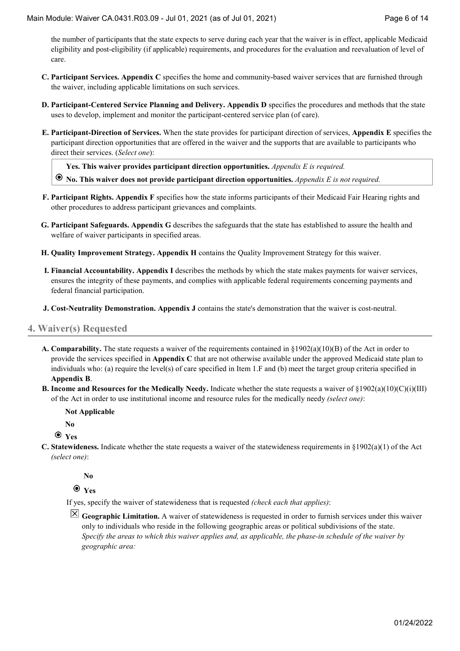the number of participants that the state expects to serve during each year that the waiver is in effect, applicable Medicaid eligibility and post-eligibility (if applicable) requirements, and procedures for the evaluation and reevaluation of level of care.

- **C. Participant Services. Appendix C** specifies the home and community-based waiver services that are furnished through the waiver, including applicable limitations on such services.
- **D. Participant-Centered Service Planning and Delivery. Appendix D** specifies the procedures and methods that the state uses to develop, implement and monitor the participant-centered service plan (of care).
- **E. Participant-Direction of Services.** When the state provides for participant direction of services, **Appendix E** specifies the participant direction opportunities that are offered in the waiver and the supports that are available to participants who direct their services. (*Select one*):

**Yes. This waiver provides participant direction opportunities.** *Appendix E is required.*

**No. This waiver does not provide participant direction opportunities.** *Appendix E is not required.*

- **F. Participant Rights. Appendix F** specifies how the state informs participants of their Medicaid Fair Hearing rights and other procedures to address participant grievances and complaints.
- **G. Participant Safeguards. Appendix G** describes the safeguards that the state has established to assure the health and welfare of waiver participants in specified areas.
- **H. Quality Improvement Strategy. Appendix H** contains the Quality Improvement Strategy for this waiver.
- **I. Financial Accountability. Appendix I** describes the methods by which the state makes payments for waiver services, ensures the integrity of these payments, and complies with applicable federal requirements concerning payments and federal financial participation.
- **J. Cost-Neutrality Demonstration. Appendix J** contains the state's demonstration that the waiver is cost-neutral.

## **4. Waiver(s) Requested**

- **A. Comparability.** The state requests a waiver of the requirements contained in §1902(a)(10)(B) of the Act in order to provide the services specified in **Appendix C** that are not otherwise available under the approved Medicaid state plan to individuals who: (a) require the level(s) of care specified in Item 1.F and (b) meet the target group criteria specified in **Appendix B**.
- **B. Income and Resources for the Medically Needy.** Indicate whether the state requests a waiver of §1902(a)(10)(C)(i)(III) of the Act in order to use institutional income and resource rules for the medically needy *(select one)*:

**Not Applicable**

**No**

**Yes**

**C. Statewideness.** Indicate whether the state requests a waiver of the statewideness requirements in §1902(a)(1) of the Act *(select one)*:

**No**

**Yes**

If yes, specify the waiver of statewideness that is requested *(check each that applies)*:

 $\vert\mathbf{X}\vert$  Geographic Limitation. A waiver of statewideness is requested in order to furnish services under this waiver only to individuals who reside in the following geographic areas or political subdivisions of the state. *Specify the areas to which this waiver applies and, as applicable, the phase-in schedule of the waiver by geographic area:*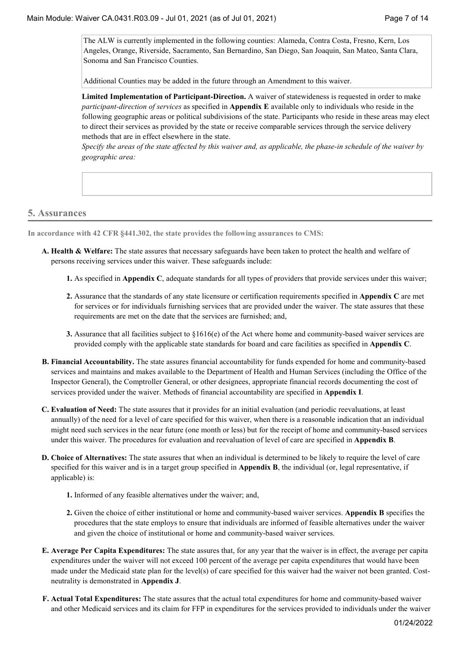The ALW is currently implemented in the following counties: Alameda, Contra Costa, Fresno, Kern, Los Angeles, Orange, Riverside, Sacramento, San Bernardino, San Diego, San Joaquin, San Mateo, Santa Clara, Sonoma and San Francisco Counties.

Additional Counties may be added in the future through an Amendment to this waiver.

**Limited Implementation of Participant-Direction.** A waiver of statewideness is requested in order to make *participant-direction of services* as specified in **Appendix E** available only to individuals who reside in the following geographic areas or political subdivisions of the state. Participants who reside in these areas may elect to direct their services as provided by the state or receive comparable services through the service delivery methods that are in effect elsewhere in the state.

*Specify the areas of the state affected by this waiver and, as applicable, the phase-in schedule of the waiver by geographic area:*

# **5. Assurances**

**In accordance with 42 CFR §441.302, the state provides the following assurances to CMS:**

- **A. Health & Welfare:** The state assures that necessary safeguards have been taken to protect the health and welfare of persons receiving services under this waiver. These safeguards include:
	- **1.** As specified in **Appendix C**, adequate standards for all types of providers that provide services under this waiver;
	- **2.** Assurance that the standards of any state licensure or certification requirements specified in **Appendix C** are met for services or for individuals furnishing services that are provided under the waiver. The state assures that these requirements are met on the date that the services are furnished; and,
	- **3.** Assurance that all facilities subject to §1616(e) of the Act where home and community-based waiver services are provided comply with the applicable state standards for board and care facilities as specified in **Appendix C**.
- **B. Financial Accountability.** The state assures financial accountability for funds expended for home and community-based services and maintains and makes available to the Department of Health and Human Services (including the Office of the Inspector General), the Comptroller General, or other designees, appropriate financial records documenting the cost of services provided under the waiver. Methods of financial accountability are specified in **Appendix I**.
- **C. Evaluation of Need:** The state assures that it provides for an initial evaluation (and periodic reevaluations, at least annually) of the need for a level of care specified for this waiver, when there is a reasonable indication that an individual might need such services in the near future (one month or less) but for the receipt of home and community-based services under this waiver. The procedures for evaluation and reevaluation of level of care are specified in **Appendix B**.
- **D. Choice of Alternatives:** The state assures that when an individual is determined to be likely to require the level of care specified for this waiver and is in a target group specified in **Appendix B**, the individual (or, legal representative, if applicable) is:
	- **1.** Informed of any feasible alternatives under the waiver; and,
	- **2.** Given the choice of either institutional or home and community-based waiver services. **Appendix B** specifies the procedures that the state employs to ensure that individuals are informed of feasible alternatives under the waiver and given the choice of institutional or home and community-based waiver services.
- **E. Average Per Capita Expenditures:** The state assures that, for any year that the waiver is in effect, the average per capita expenditures under the waiver will not exceed 100 percent of the average per capita expenditures that would have been made under the Medicaid state plan for the level(s) of care specified for this waiver had the waiver not been granted. Costneutrality is demonstrated in **Appendix J**.
- **F. Actual Total Expenditures:** The state assures that the actual total expenditures for home and community-based waiver and other Medicaid services and its claim for FFP in expenditures for the services provided to individuals under the waiver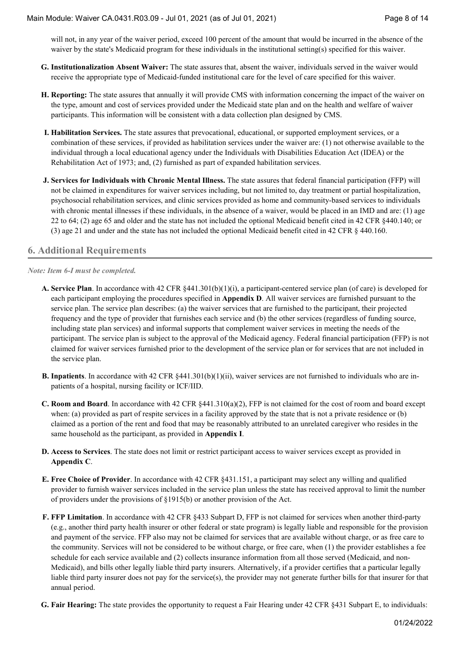will not, in any year of the waiver period, exceed 100 percent of the amount that would be incurred in the absence of the waiver by the state's Medicaid program for these individuals in the institutional setting(s) specified for this waiver.

- **G. Institutionalization Absent Waiver:** The state assures that, absent the waiver, individuals served in the waiver would receive the appropriate type of Medicaid-funded institutional care for the level of care specified for this waiver.
- **H. Reporting:** The state assures that annually it will provide CMS with information concerning the impact of the waiver on the type, amount and cost of services provided under the Medicaid state plan and on the health and welfare of waiver participants. This information will be consistent with a data collection plan designed by CMS.
- **I. Habilitation Services.** The state assures that prevocational, educational, or supported employment services, or a combination of these services, if provided as habilitation services under the waiver are: (1) not otherwise available to the individual through a local educational agency under the Individuals with Disabilities Education Act (IDEA) or the Rehabilitation Act of 1973; and, (2) furnished as part of expanded habilitation services.
- **J. Services for Individuals with Chronic Mental Illness.** The state assures that federal financial participation (FFP) will not be claimed in expenditures for waiver services including, but not limited to, day treatment or partial hospitalization, psychosocial rehabilitation services, and clinic services provided as home and community-based services to individuals with chronic mental illnesses if these individuals, in the absence of a waiver, would be placed in an IMD and are: (1) age 22 to 64; (2) age 65 and older and the state has not included the optional Medicaid benefit cited in 42 CFR §440.140; or (3) age 21 and under and the state has not included the optional Medicaid benefit cited in 42 CFR § 440.160.

## **6. Additional Requirements**

*Note: Item 6-I must be completed.*

- **A. Service Plan**. In accordance with 42 CFR §441.301(b)(1)(i), a participant-centered service plan (of care) is developed for each participant employing the procedures specified in **Appendix D**. All waiver services are furnished pursuant to the service plan. The service plan describes: (a) the waiver services that are furnished to the participant, their projected frequency and the type of provider that furnishes each service and (b) the other services (regardless of funding source, including state plan services) and informal supports that complement waiver services in meeting the needs of the participant. The service plan is subject to the approval of the Medicaid agency. Federal financial participation (FFP) is not claimed for waiver services furnished prior to the development of the service plan or for services that are not included in the service plan.
- **B.** Inpatients. In accordance with 42 CFR §441.301(b)(1)(ii), waiver services are not furnished to individuals who are inpatients of a hospital, nursing facility or ICF/IID.
- **C. Room and Board**. In accordance with 42 CFR §441.310(a)(2), FFP is not claimed for the cost of room and board except when: (a) provided as part of respite services in a facility approved by the state that is not a private residence or (b) claimed as a portion of the rent and food that may be reasonably attributed to an unrelated caregiver who resides in the same household as the participant, as provided in **Appendix I**.
- **D. Access to Services**. The state does not limit or restrict participant access to waiver services except as provided in **Appendix C**.
- **E. Free Choice of Provider**. In accordance with 42 CFR §431.151, a participant may select any willing and qualified provider to furnish waiver services included in the service plan unless the state has received approval to limit the number of providers under the provisions of §1915(b) or another provision of the Act.
- **F. FFP Limitation**. In accordance with 42 CFR §433 Subpart D, FFP is not claimed for services when another third-party (e.g., another third party health insurer or other federal or state program) is legally liable and responsible for the provision and payment of the service. FFP also may not be claimed for services that are available without charge, or as free care to the community. Services will not be considered to be without charge, or free care, when (1) the provider establishes a fee schedule for each service available and (2) collects insurance information from all those served (Medicaid, and non-Medicaid), and bills other legally liable third party insurers. Alternatively, if a provider certifies that a particular legally liable third party insurer does not pay for the service(s), the provider may not generate further bills for that insurer for that annual period.
- **G. Fair Hearing:** The state provides the opportunity to request a Fair Hearing under 42 CFR §431 Subpart E, to individuals: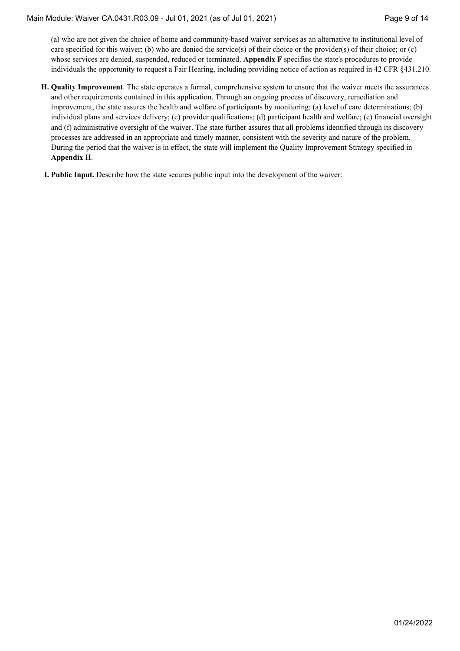(a) who are not given the choice of home and community-based waiver services as an alternative to institutional level of care specified for this waiver; (b) who are denied the service(s) of their choice or the provider(s) of their choice; or (c) whose services are denied, suspended, reduced or terminated. **Appendix F** specifies the state's procedures to provide individuals the opportunity to request a Fair Hearing, including providing notice of action as required in 42 CFR §431.210.

- **H. Quality Improvement**. The state operates a formal, comprehensive system to ensure that the waiver meets the assurances and other requirements contained in this application. Through an ongoing process of discovery, remediation and improvement, the state assures the health and welfare of participants by monitoring: (a) level of care determinations; (b) individual plans and services delivery; (c) provider qualifications; (d) participant health and welfare; (e) financial oversight and (f) administrative oversight of the waiver. The state further assures that all problems identified through its discovery processes are addressed in an appropriate and timely manner, consistent with the severity and nature of the problem. During the period that the waiver is in effect, the state will implement the Quality Improvement Strategy specified in **Appendix H**.
- **I. Public Input.** Describe how the state secures public input into the development of the waiver: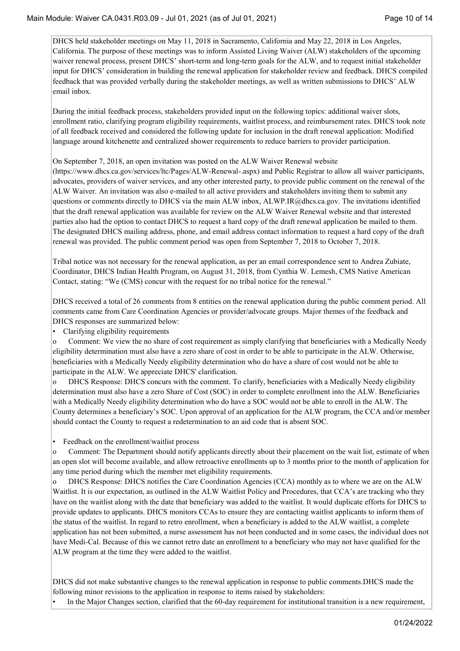DHCS held stakeholder meetings on May 11, 2018 in Sacramento, California and May 22, 2018 in Los Angeles, California. The purpose of these meetings was to inform Assisted Living Waiver (ALW) stakeholders of the upcoming waiver renewal process, present DHCS' short-term and long-term goals for the ALW, and to request initial stakeholder input for DHCS' consideration in building the renewal application for stakeholder review and feedback. DHCS compiled feedback that was provided verbally during the stakeholder meetings, as well as written submissions to DHCS' ALW email inbox.

During the initial feedback process, stakeholders provided input on the following topics: additional waiver slots, enrollment ratio, clarifying program eligibility requirements, waitlist process, and reimbursement rates. DHCS took note of all feedback received and considered the following update for inclusion in the draft renewal application: Modified language around kitchenette and centralized shower requirements to reduce barriers to provider participation.

On September 7, 2018, an open invitation was posted on the ALW Waiver Renewal website

(https://www.dhcs.ca.gov/services/ltc/Pages/ALW-Renewal-.aspx) and Public Registrar to allow all waiver participants, advocates, providers of waiver services, and any other interested party, to provide public comment on the renewal of the ALW Waiver. An invitation was also e-mailed to all active providers and stakeholders inviting them to submit any questions or comments directly to DHCS via the main ALW inbox, ALWP.IR@dhcs.ca.gov. The invitations identified that the draft renewal application was available for review on the ALW Waiver Renewal website and that interested parties also had the option to contact DHCS to request a hard copy of the draft renewal application be mailed to them. The designated DHCS mailing address, phone, and email address contact information to request a hard copy of the draft renewal was provided. The public comment period was open from September 7, 2018 to October 7, 2018.

Tribal notice was not necessary for the renewal application, as per an email correspondence sent to Andrea Zubiate, Coordinator, DHCS Indian Health Program, on August 31, 2018, from Cynthia W. Lemesh, CMS Native American Contact, stating: "We (CMS) concur with the request for no tribal notice for the renewal."

DHCS received a total of 26 comments from 8 entities on the renewal application during the public comment period. All comments came from Care Coordination Agencies or provider/advocate groups. Major themes of the feedback and DHCS responses are summarized below:

Clarifying eligibility requirements

o Comment: We view the no share of cost requirement as simply clarifying that beneficiaries with a Medically Needy eligibility determination must also have a zero share of cost in order to be able to participate in the ALW. Otherwise, beneficiaries with a Medically Needy eligibility determination who do have a share of cost would not be able to participate in the ALW. We appreciate DHCS' clarification.

o DHCS Response: DHCS concurs with the comment. To clarify, beneficiaries with a Medically Needy eligibility determination must also have a zero Share of Cost (SOC) in order to complete enrollment into the ALW. Beneficiaries with a Medically Needy eligibility determination who do have a SOC would not be able to enroll in the ALW. The County determines a beneficiary's SOC. Upon approval of an application for the ALW program, the CCA and/or member should contact the County to request a redetermination to an aid code that is absent SOC.

• Feedback on the enrollment/waitlist process

o Comment: The Department should notify applicants directly about their placement on the wait list, estimate of when an open slot will become available, and allow retroactive enrollments up to 3 months prior to the month of application for any time period during which the member met eligibility requirements.

DHCS Response: DHCS notifies the Care Coordination Agencies (CCA) monthly as to where we are on the ALW Waitlist. It is our expectation, as outlined in the ALW Waitlist Policy and Procedures, that CCA's are tracking who they have on the waitlist along with the date that beneficiary was added to the waitlist. It would duplicate efforts for DHCS to provide updates to applicants. DHCS monitors CCAs to ensure they are contacting waitlist applicants to inform them of the status of the waitlist. In regard to retro enrollment, when a beneficiary is added to the ALW waitlist, a complete application has not been submitted, a nurse assessment has not been conducted and in some cases, the individual does not have Medi-Cal. Because of this we cannot retro date an enrollment to a beneficiary who may not have qualified for the ALW program at the time they were added to the waitlist.

DHCS did not make substantive changes to the renewal application in response to public comments.DHCS made the following minor revisions to the application in response to items raised by stakeholders:

• In the Major Changes section, clarified that the 60-day requirement for institutional transition is a new requirement,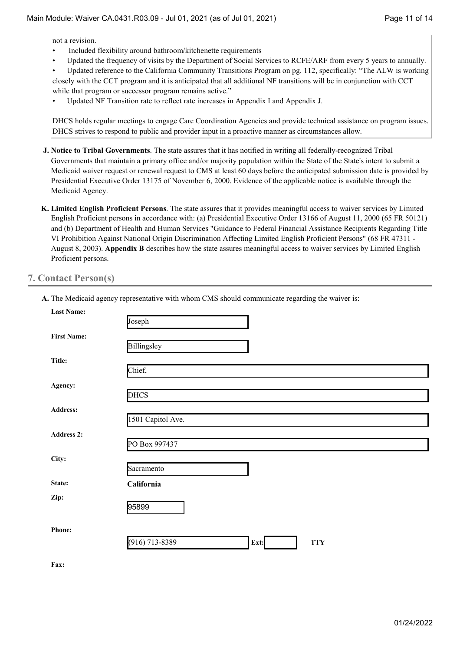not a revision.

- Included flexibility around bathroom/kitchenette requirements
- Updated the frequency of visits by the Department of Social Services to RCFE/ARF from every 5 years to annually.

• Updated reference to the California Community Transitions Program on pg. 112, specifically: "The ALW is working closely with the CCT program and it is anticipated that all additional NF transitions will be in conjunction with CCT while that program or successor program remains active."

• Updated NF Transition rate to reflect rate increases in Appendix I and Appendix J.

DHCS holds regular meetings to engage Care Coordination Agencies and provide technical assistance on program issues. DHCS strives to respond to public and provider input in a proactive manner as circumstances allow.

- **J. Notice to Tribal Governments**. The state assures that it has notified in writing all federally-recognized Tribal Governments that maintain a primary office and/or majority population within the State of the State's intent to submit a Medicaid waiver request or renewal request to CMS at least 60 days before the anticipated submission date is provided by Presidential Executive Order 13175 of November 6, 2000. Evidence of the applicable notice is available through the Medicaid Agency.
- **K. Limited English Proficient Persons**. The state assures that it provides meaningful access to waiver services by Limited English Proficient persons in accordance with: (a) Presidential Executive Order 13166 of August 11, 2000 (65 FR 50121) and (b) Department of Health and Human Services "Guidance to Federal Financial Assistance Recipients Regarding Title VI Prohibition Against National Origin Discrimination Affecting Limited English Proficient Persons" (68 FR 47311 - August 8, 2003). **Appendix B** describes how the state assures meaningful access to waiver services by Limited English Proficient persons.

## **7. Contact Person(s)**

| <b>Last Name:</b>  | Joseph                                 |
|--------------------|----------------------------------------|
| <b>First Name:</b> | Billingsley                            |
| Title:             | Chief,                                 |
| Agency:            | <b>DHCS</b>                            |
| <b>Address:</b>    | 1501 Capitol Ave.                      |
| <b>Address 2:</b>  | PO Box 997437                          |
| City:              | Sacramento                             |
| State:             | California                             |
| Zip:               | 95899                                  |
| Phone:             | $(916)$ 713-8389<br>Ext:<br><b>TTY</b> |

**A.** The Medicaid agency representative with whom CMS should communicate regarding the waiver is:

**Fax:**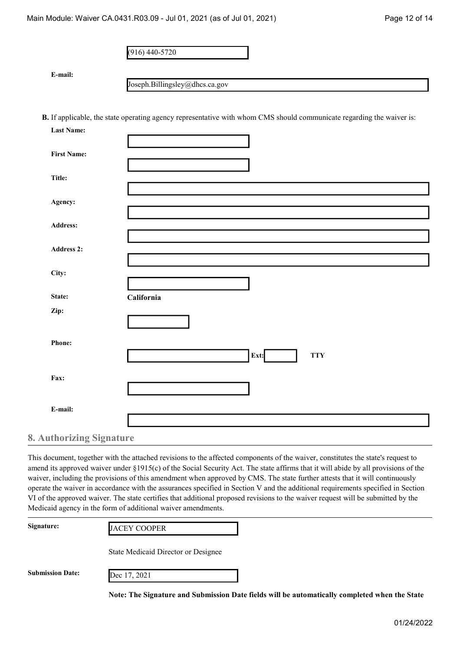(916) 440-5720

**E-mail:**

[Joseph.Billingsley@dhcs.ca.gov](mailto:Joseph.Billingsley@dhcs.ca.gov)

**B.** If applicable, the state operating agency representative with whom CMS should communicate regarding the waiver is:

| <b>Last Name:</b>    |                               |
|----------------------|-------------------------------|
| <b>First Name:</b>   |                               |
| Title:               |                               |
| Agency:              |                               |
| Address:             |                               |
| Address 2:           |                               |
| City:                |                               |
| State:               | California                    |
| Zip:                 |                               |
| Phone:               |                               |
|                      | $\mathbf{Ext:}$<br><b>TTY</b> |
| Fax:                 |                               |
| E-mail:              |                               |
| uthovizing Cignotuno |                               |

**8. Authorizing Signature**

This document, together with the attached revisions to the affected components of the waiver, constitutes the state's request to amend its approved waiver under §1915(c) of the Social Security Act. The state affirms that it will abide by all provisions of the waiver, including the provisions of this amendment when approved by CMS. The state further attests that it will continuously operate the waiver in accordance with the assurances specified in Section V and the additional requirements specified in Section VI of the approved waiver. The state certifies that additional proposed revisions to the waiver request will be submitted by the Medicaid agency in the form of additional waiver amendments.

| Signature:              | <b>JACEY COOPER</b>                 |  |
|-------------------------|-------------------------------------|--|
|                         | State Medicaid Director or Designee |  |
| <b>Submission Date:</b> | Dec 17, 2021                        |  |

**Note: The Signature and Submission Date fields will be automatically completed when the State**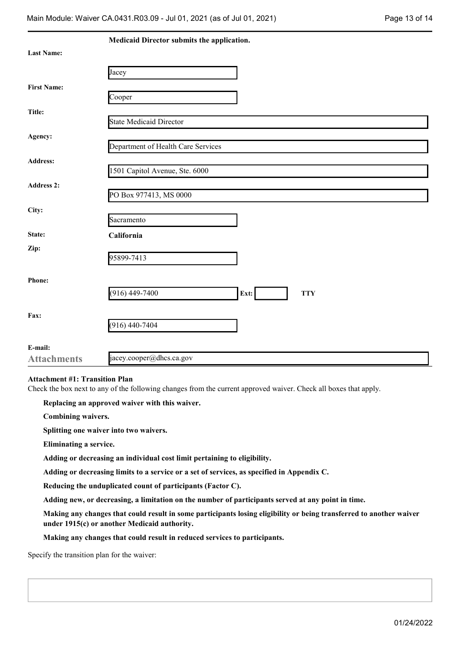|                    | Medicaid Director submits the application. |
|--------------------|--------------------------------------------|
| <b>Last Name:</b>  |                                            |
|                    | Jacey                                      |
| <b>First Name:</b> |                                            |
|                    | Cooper                                     |
| Title:             | <b>State Medicaid Director</b>             |
| Agency:            |                                            |
|                    | Department of Health Care Services         |
| Address:           | 1501 Capitol Avenue, Ste. 6000             |
| <b>Address 2:</b>  |                                            |
|                    | PO Box 977413, MS 0000                     |
| City:              | Sacramento                                 |
| State:             | California                                 |
| Zip:               | 95899-7413                                 |
|                    |                                            |
| Phone:             |                                            |
|                    | $(916)$ 449-7400<br>Ext:<br><b>TTY</b>     |
| Fax:               |                                            |
|                    | $(916)$ 440-7404                           |
| E-mail:            |                                            |
| <b>Attachments</b> | jacey.cooper@dhcs.ca.gov                   |

#### **Attachment #1: Transition Plan**

Check the box next to any of the following changes from the current approved waiver. Check all boxes that apply.

#### **Replacing an approved waiver with this waiver.**

**Combining waivers.**

**Splitting one waiver into two waivers.**

**Eliminating a service.**

**Adding or decreasing an individual cost limit pertaining to eligibility.**

**Adding or decreasing limits to a service or a set of services, as specified in Appendix C.**

**Reducing the unduplicated count of participants (Factor C).**

**Adding new, or decreasing, a limitation on the number of participants served at any point in time.**

**Making any changes that could result in some participants losing eligibility or being transferred to another waiver under 1915(c) or another Medicaid authority.**

**Making any changes that could result in reduced services to participants.**

Specify the transition plan for the waiver: